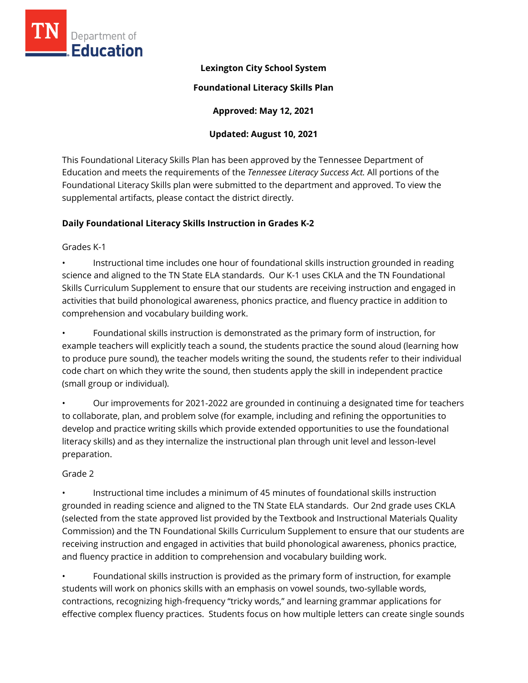

# **Lexington City School System**

#### **Foundational Literacy Skills Plan**

**Approved: May 12, 2021** 

### **Updated: August 10, 2021**

This Foundational Literacy Skills Plan has been approved by the Tennessee Department of Education and meets the requirements of the *Tennessee Literacy Success Act.* All portions of the Foundational Literacy Skills plan were submitted to the department and approved. To view the supplemental artifacts, please contact the district directly.

# **Daily Foundational Literacy Skills Instruction in Grades K-2**

#### Grades K-1

• Instructional time includes one hour of foundational skills instruction grounded in reading science and aligned to the TN State ELA standards. Our K-1 uses CKLA and the TN Foundational Skills Curriculum Supplement to ensure that our students are receiving instruction and engaged in activities that build phonological awareness, phonics practice, and fluency practice in addition to comprehension and vocabulary building work.

• Foundational skills instruction is demonstrated as the primary form of instruction, for example teachers will explicitly teach a sound, the students practice the sound aloud (learning how to produce pure sound), the teacher models writing the sound, the students refer to their individual code chart on which they write the sound, then students apply the skill in independent practice (small group or individual).

• Our improvements for 2021-2022 are grounded in continuing a designated time for teachers to collaborate, plan, and problem solve (for example, including and refining the opportunities to develop and practice writing skills which provide extended opportunities to use the foundational literacy skills) and as they internalize the instructional plan through unit level and lesson-level preparation.

#### Grade 2

• Instructional time includes a minimum of 45 minutes of foundational skills instruction grounded in reading science and aligned to the TN State ELA standards. Our 2nd grade uses CKLA (selected from the state approved list provided by the Textbook and Instructional Materials Quality Commission) and the TN Foundational Skills Curriculum Supplement to ensure that our students are receiving instruction and engaged in activities that build phonological awareness, phonics practice, and fluency practice in addition to comprehension and vocabulary building work.

• Foundational skills instruction is provided as the primary form of instruction, for example students will work on phonics skills with an emphasis on vowel sounds, two-syllable words, contractions, recognizing high-frequency "tricky words," and learning grammar applications for effective complex fluency practices. Students focus on how multiple letters can create single sounds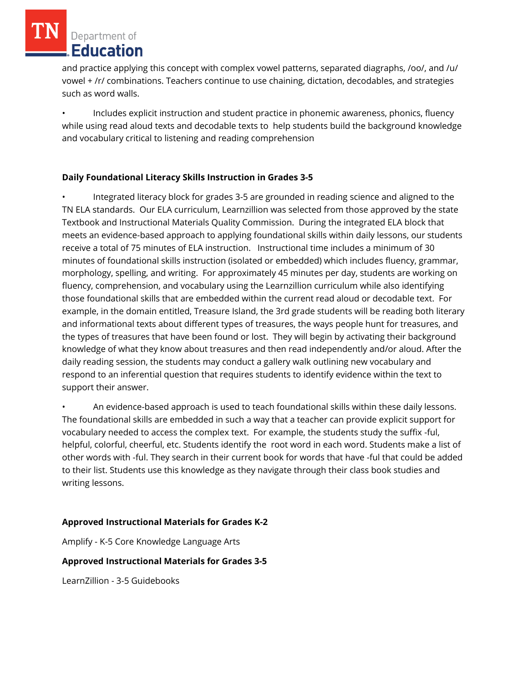and practice applying this concept with complex vowel patterns, separated diagraphs, /oo/, and /u/ vowel + /r/ combinations. Teachers continue to use chaining, dictation, decodables, and strategies such as word walls.

• Includes explicit instruction and student practice in phonemic awareness, phonics, fluency while using read aloud texts and decodable texts to help students build the background knowledge and vocabulary critical to listening and reading comprehension

# **Daily Foundational Literacy Skills Instruction in Grades 3-5**

• Integrated literacy block for grades 3-5 are grounded in reading science and aligned to the TN ELA standards. Our ELA curriculum, Learnzillion was selected from those approved by the state Textbook and Instructional Materials Quality Commission. During the integrated ELA block that meets an evidence-based approach to applying foundational skills within daily lessons, our students receive a total of 75 minutes of ELA instruction. Instructional time includes a minimum of 30 minutes of foundational skills instruction (isolated or embedded) which includes fluency, grammar, morphology, spelling, and writing. For approximately 45 minutes per day, students are working on fluency, comprehension, and vocabulary using the Learnzillion curriculum while also identifying those foundational skills that are embedded within the current read aloud or decodable text. For example, in the domain entitled, Treasure Island, the 3rd grade students will be reading both literary and informational texts about different types of treasures, the ways people hunt for treasures, and the types of treasures that have been found or lost. They will begin by activating their background knowledge of what they know about treasures and then read independently and/or aloud. After the daily reading session, the students may conduct a gallery walk outlining new vocabulary and respond to an inferential question that requires students to identify evidence within the text to support their answer.

• An evidence-based approach is used to teach foundational skills within these daily lessons. The foundational skills are embedded in such a way that a teacher can provide explicit support for vocabulary needed to access the complex text. For example, the students study the suffix -ful, helpful, colorful, cheerful, etc. Students identify the root word in each word. Students make a list of other words with -ful. They search in their current book for words that have -ful that could be added to their list. Students use this knowledge as they navigate through their class book studies and writing lessons.

# **Approved Instructional Materials for Grades K-2**

Amplify - K-5 Core Knowledge Language Arts

# **Approved Instructional Materials for Grades 3-5**

LearnZillion - 3-5 Guidebooks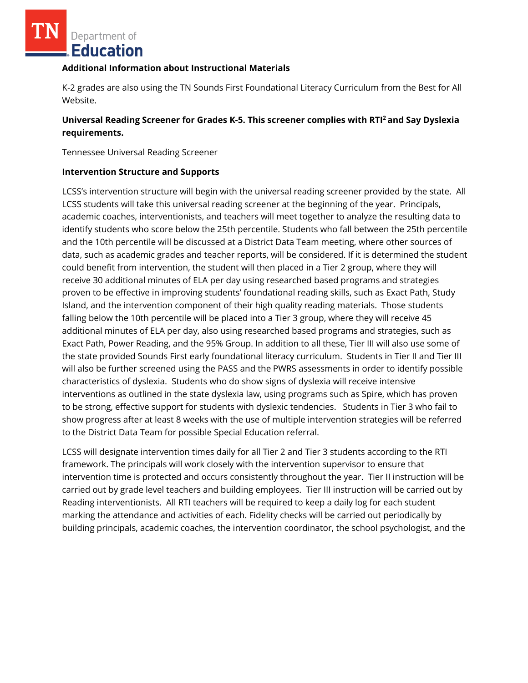#### **Additional Information about Instructional Materials**

K-2 grades are also using the TN Sounds First Foundational Literacy Curriculum from the Best for All Website.

# **Universal Reading Screener for Grades K-5. This screener complies with RTI<sup>2</sup>and Say Dyslexia requirements.**

Tennessee Universal Reading Screener

#### **Intervention Structure and Supports**

LCSS's intervention structure will begin with the universal reading screener provided by the state. All LCSS students will take this universal reading screener at the beginning of the year. Principals, academic coaches, interventionists, and teachers will meet together to analyze the resulting data to identify students who score below the 25th percentile. Students who fall between the 25th percentile and the 10th percentile will be discussed at a District Data Team meeting, where other sources of data, such as academic grades and teacher reports, will be considered. If it is determined the student could benefit from intervention, the student will then placed in a Tier 2 group, where they will receive 30 additional minutes of ELA per day using researched based programs and strategies proven to be effective in improving students' foundational reading skills, such as Exact Path, Study Island, and the intervention component of their high quality reading materials. Those students falling below the 10th percentile will be placed into a Tier 3 group, where they will receive 45 additional minutes of ELA per day, also using researched based programs and strategies, such as Exact Path, Power Reading, and the 95% Group. In addition to all these, Tier III will also use some of the state provided Sounds First early foundational literacy curriculum. Students in Tier II and Tier III will also be further screened using the PASS and the PWRS assessments in order to identify possible characteristics of dyslexia. Students who do show signs of dyslexia will receive intensive interventions as outlined in the state dyslexia law, using programs such as Spire, which has proven to be strong, effective support for students with dyslexic tendencies. Students in Tier 3 who fail to show progress after at least 8 weeks with the use of multiple intervention strategies will be referred to the District Data Team for possible Special Education referral.

LCSS will designate intervention times daily for all Tier 2 and Tier 3 students according to the RTI framework. The principals will work closely with the intervention supervisor to ensure that intervention time is protected and occurs consistently throughout the year. Tier II instruction will be carried out by grade level teachers and building employees. Tier III instruction will be carried out by Reading interventionists. All RTI teachers will be required to keep a daily log for each student marking the attendance and activities of each. Fidelity checks will be carried out periodically by building principals, academic coaches, the intervention coordinator, the school psychologist, and the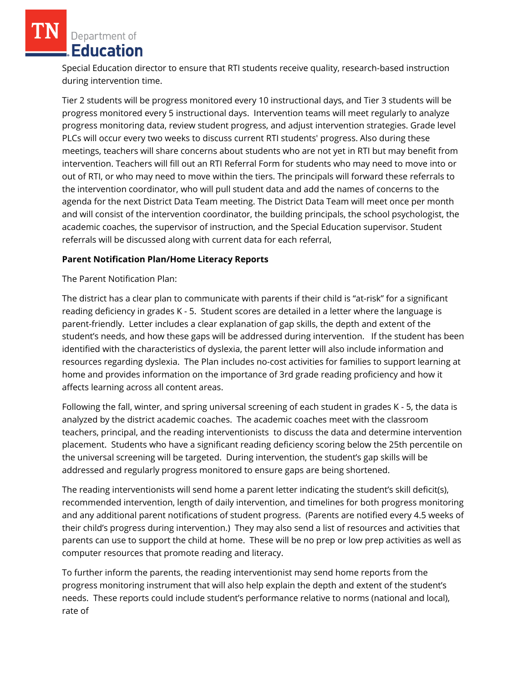Special Education director to ensure that RTI students receive quality, research-based instruction during intervention time.

Tier 2 students will be progress monitored every 10 instructional days, and Tier 3 students will be progress monitored every 5 instructional days. Intervention teams will meet regularly to analyze progress monitoring data, review student progress, and adjust intervention strategies. Grade level PLCs will occur every two weeks to discuss current RTI students' progress. Also during these meetings, teachers will share concerns about students who are not yet in RTI but may benefit from intervention. Teachers will fill out an RTI Referral Form for students who may need to move into or out of RTI, or who may need to move within the tiers. The principals will forward these referrals to the intervention coordinator, who will pull student data and add the names of concerns to the agenda for the next District Data Team meeting. The District Data Team will meet once per month and will consist of the intervention coordinator, the building principals, the school psychologist, the academic coaches, the supervisor of instruction, and the Special Education supervisor. Student referrals will be discussed along with current data for each referral,

#### **Parent Notification Plan/Home Literacy Reports**

The Parent Notification Plan:

The district has a clear plan to communicate with parents if their child is "at-risk" for a significant reading deficiency in grades K - 5. Student scores are detailed in a letter where the language is parent-friendly. Letter includes a clear explanation of gap skills, the depth and extent of the student's needs, and how these gaps will be addressed during intervention. If the student has been identified with the characteristics of dyslexia, the parent letter will also include information and resources regarding dyslexia. The Plan includes no-cost activities for families to support learning at home and provides information on the importance of 3rd grade reading proficiency and how it affects learning across all content areas.

Following the fall, winter, and spring universal screening of each student in grades K - 5, the data is analyzed by the district academic coaches. The academic coaches meet with the classroom teachers, principal, and the reading interventionists to discuss the data and determine intervention placement. Students who have a significant reading deficiency scoring below the 25th percentile on the universal screening will be targeted. During intervention, the student's gap skills will be addressed and regularly progress monitored to ensure gaps are being shortened.

The reading interventionists will send home a parent letter indicating the student's skill deficit(s), recommended intervention, length of daily intervention, and timelines for both progress monitoring and any additional parent notifications of student progress. (Parents are notified every 4.5 weeks of their child's progress during intervention.) They may also send a list of resources and activities that parents can use to support the child at home. These will be no prep or low prep activities as well as computer resources that promote reading and literacy.

To further inform the parents, the reading interventionist may send home reports from the progress monitoring instrument that will also help explain the depth and extent of the student's needs. These reports could include student's performance relative to norms (national and local), rate of